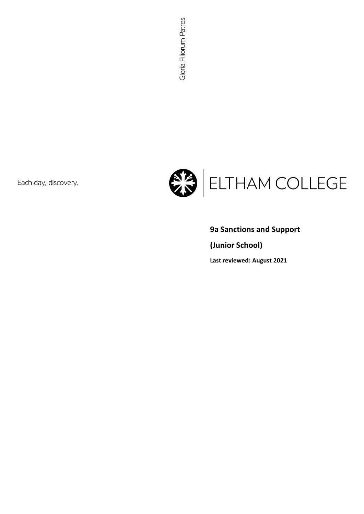Each day, discovery.



# **9a Sanctions and Support**

**(Junior School)**

**Last reviewed: August 2021**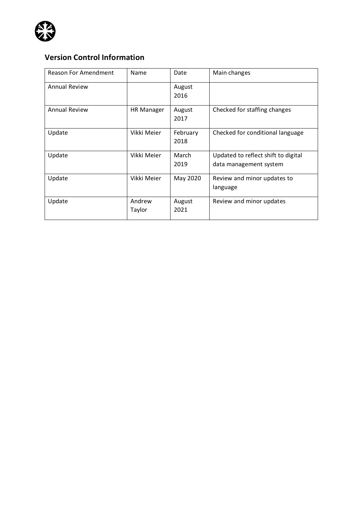

## **Version Control Information**

| Reason For Amendment | Name              | Date             | Main changes                                                  |
|----------------------|-------------------|------------------|---------------------------------------------------------------|
| <b>Annual Review</b> |                   | August<br>2016   |                                                               |
| <b>Annual Review</b> | <b>HR Manager</b> | August<br>2017   | Checked for staffing changes                                  |
| Update               | Vikki Meier       | February<br>2018 | Checked for conditional language                              |
| Update               | Vikki Meier       | March<br>2019    | Updated to reflect shift to digital<br>data management system |
| Update               | Vikki Meier       | May 2020         | Review and minor updates to<br>language                       |
| Update               | Andrew<br>Taylor  | August<br>2021   | Review and minor updates                                      |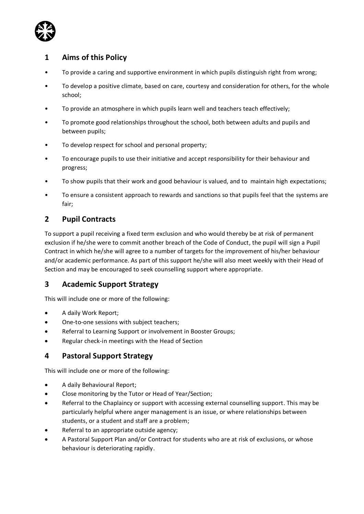

### **1 Aims of this Policy**

- To provide a caring and supportive environment in which pupils distinguish right from wrong;
- To develop a positive climate, based on care, courtesy and consideration for others, for the whole school;
- To provide an atmosphere in which pupils learn well and teachers teach effectively;
- To promote good relationships throughout the school, both between adults and pupils and between pupils;
- To develop respect for school and personal property;
- To encourage pupils to use their initiative and accept responsibility for their behaviour and progress;
- To show pupils that their work and good behaviour is valued, and to maintain high expectations;
- To ensure a consistent approach to rewards and sanctions so that pupils feel that the systems are fair;

### **2 Pupil Contracts**

To support a pupil receiving a fixed term exclusion and who would thereby be at risk of permanent exclusion if he/she were to commit another breach of the Code of Conduct, the pupil will sign a Pupil Contract in which he/she will agree to a number of targets for the improvement of his/her behaviour and/or academic performance. As part of this support he/she will also meet weekly with their Head of Section and may be encouraged to seek counselling support where appropriate.

### **3 Academic Support Strategy**

This will include one or more of the following:

- A daily Work Report;
- One-to-one sessions with subject teachers;
- Referral to Learning Support or involvement in Booster Groups;
- Regular check-in meetings with the Head of Section

### **4 Pastoral Support Strategy**

This will include one or more of the following:

- A daily Behavioural Report;
- Close monitoring by the Tutor or Head of Year/Section;
- Referral to the Chaplaincy or support with accessing external counselling support. This may be particularly helpful where anger management is an issue, or where relationships between students, or a student and staff are a problem;
- Referral to an appropriate outside agency;
- A Pastoral Support Plan and/or Contract for students who are at risk of exclusions, or whose behaviour is deteriorating rapidly.